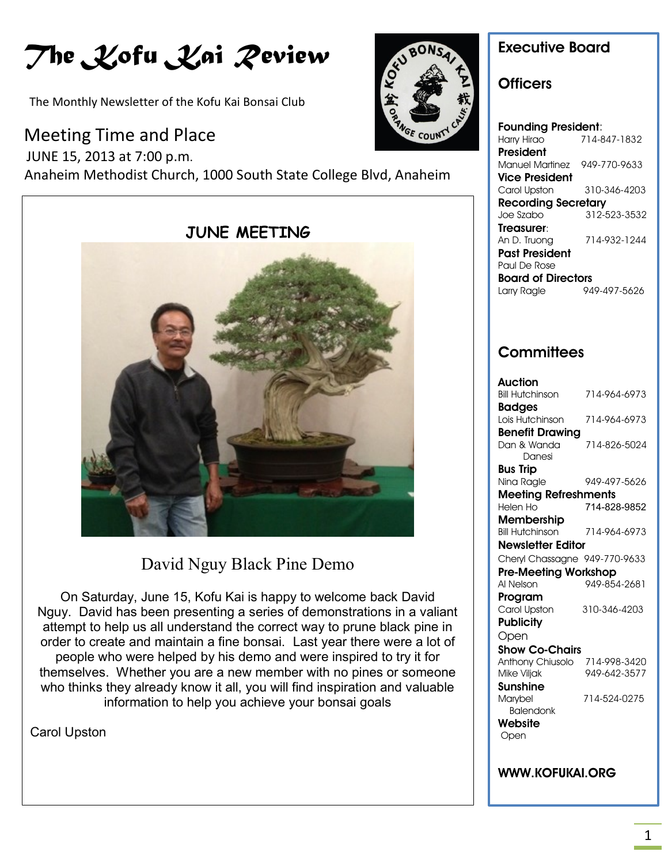# *The Kofu Kai Review*

The Monthly Newsletter of the Kofu Kai Bonsai Club

### Meeting Time and Place

 JUNE 15, 2013 at 7:00 p.m. Anaheim Methodist Church, 1000 South State College Blvd, Anaheim



## David Nguy Black Pine Demo

On Saturday, June 15, Kofu Kai is happy to welcome back David Nguy. David has been presenting a series of demonstrations in a valiant attempt to help us all understand the correct way to prune black pine in order to create and maintain a fine bonsai. Last year there were a lot of people who were helped by his demo and were inspired to try it for themselves. Whether you are a new member with no pines or someone who thinks they already know it all, you will find inspiration and valuable information to help you achieve your bonsai goals

Carol Upston



### **Executive Board**

#### **Officers**

**Founding President**: Harry Hirao 714-847-1832 **President** Manuel Martinez 949-770-9633 **Vice President** Carol Upston 310-346-4203 **Recording Secretary** Joe Szabo 312-523-3532 **Treasurer**: An D. Truong 714-932-1244 **Past President** Paul De Rose **Board of Directors** Larry Ragle 949-497-5626

## **Committees**

| Auction                       |              |
|-------------------------------|--------------|
| <b>Bill Hutchinson</b>        | 714-964-6973 |
| <b>Badges</b>                 |              |
| Lois Hutchinson               | 714-964-6973 |
| <b>Benefit Drawing</b>        |              |
| Dan & Wanda                   | 714-826-5024 |
| Danesi                        |              |
| Bus Trip                      |              |
| Nina Ragle                    | 949-497-5626 |
| <b>Meeting Refreshments</b>   |              |
| Helen Ho                      | 714-828-9852 |
| Membership                    |              |
| <b>Bill Hutchinson</b>        | 714-964-6973 |
| <b>Newsletter Editor</b>      |              |
| Cheryl Chassagne 949-770-9633 |              |
| <b>Pre-Meeting Workshop</b>   |              |
| Al Nelson                     | 949-854-2681 |
| Program                       |              |
| Carol Upston                  | 310-346-4203 |
| <b>Publicity</b>              |              |
| Open                          |              |
| Show Co-Chairs                |              |
| Anthony Chiusolo              | 714-998-3420 |
| Mike Viljak                   | 949-642-3577 |
| Sunshine                      |              |
| Marybel                       | 714-524-0275 |
| <b>Balendonk</b>              |              |
| Website                       |              |
| Open                          |              |
|                               |              |
|                               |              |

#### **WWW.KOFUKAI.ORG**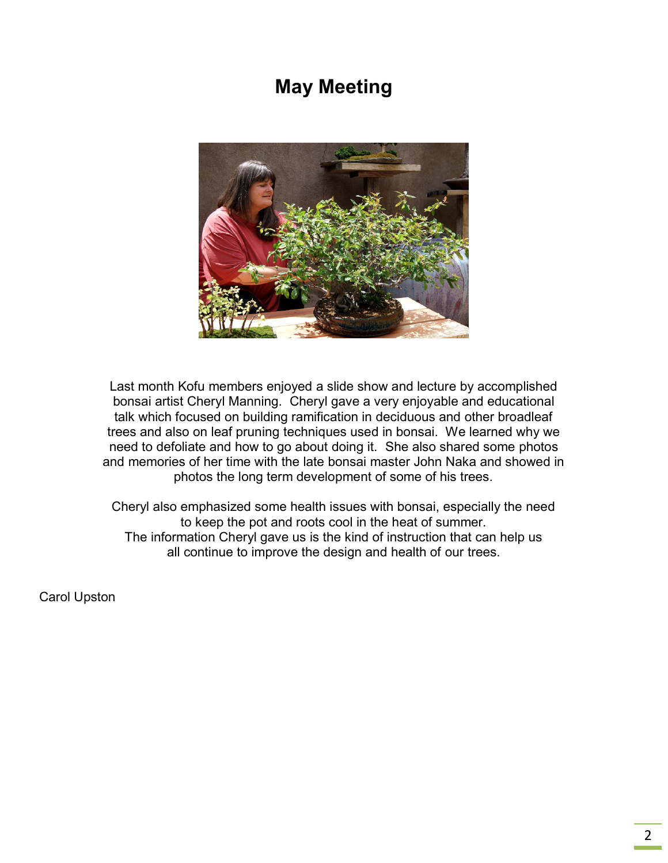## **May Meeting**



Last month Kofu members enjoyed a slide show and lecture by accomplished bonsai artist Cheryl Manning. Cheryl gave a very enjoyable and educational talk which focused on building ramification in deciduous and other broadleaf trees and also on leaf pruning techniques used in bonsai. We learned why we need to defoliate and how to go about doing it. She also shared some photos and memories of her time with the late bonsai master John Naka and showed in photos the long term development of some of his trees.

Cheryl also emphasized some health issues with bonsai, especially the need to keep the pot and roots cool in the heat of summer. The information Cheryl gave us is the kind of instruction that can help us all continue to improve the design and health of our trees.

Carol Upston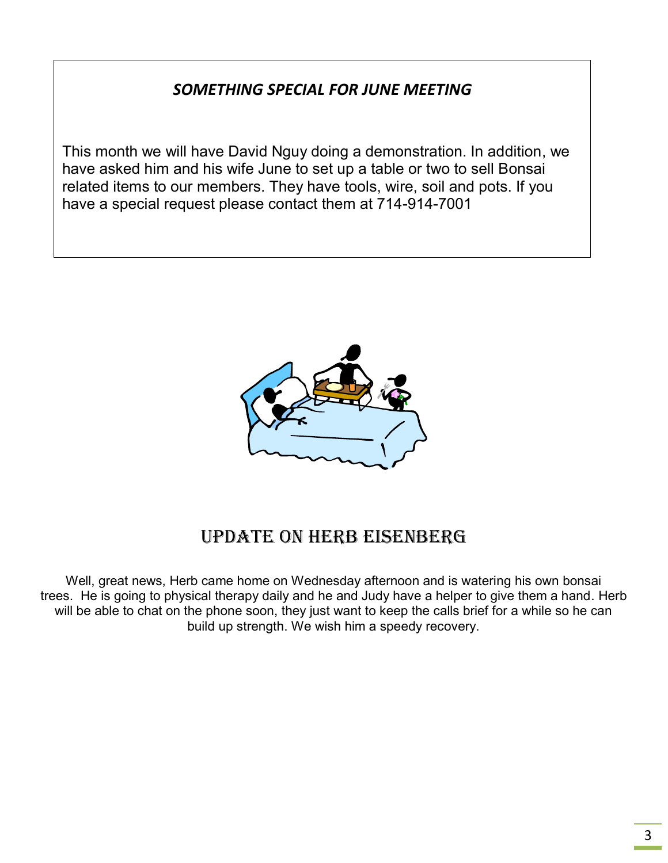### *SOMETHING SPECIAL FOR JUNE MEETING*

This month we will have David Nguy doing a demonstration. In addition, we have asked him and his wife June to set up a table or two to sell Bonsai related items to our members. They have tools, wire, soil and pots. If you have a special request please contact them at 714-914-7001



## Update on Herb Eisenberg

Well, great news, Herb came home on Wednesday afternoon and is watering his own bonsai trees. He is going to physical therapy daily and he and Judy have a helper to give them a hand. Herb will be able to chat on the phone soon, they just want to keep the calls brief for a while so he can build up strength. We wish him a speedy recovery.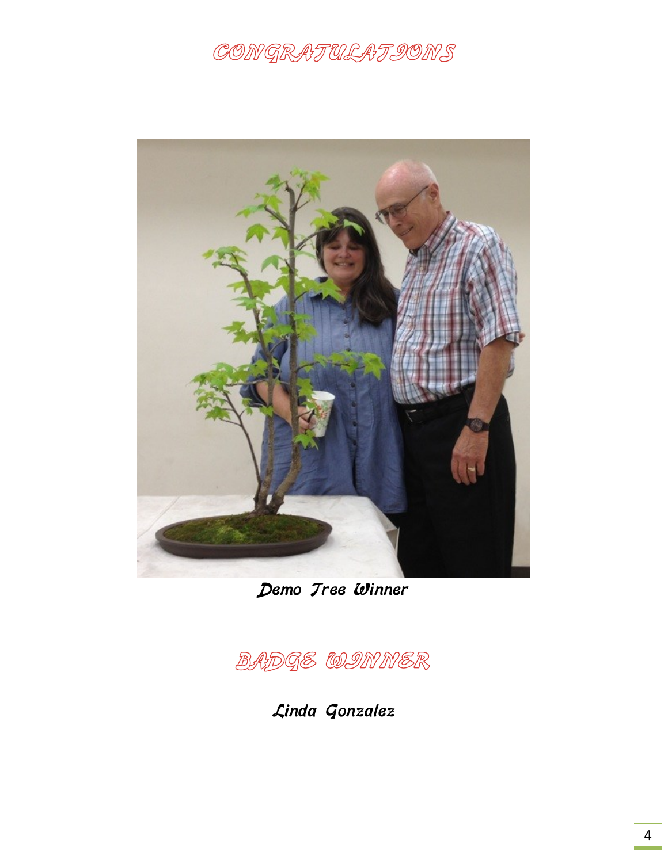## CONGRATULATIONS



Demo Tree Winner

BADGE WINNER

Linda Gonzalez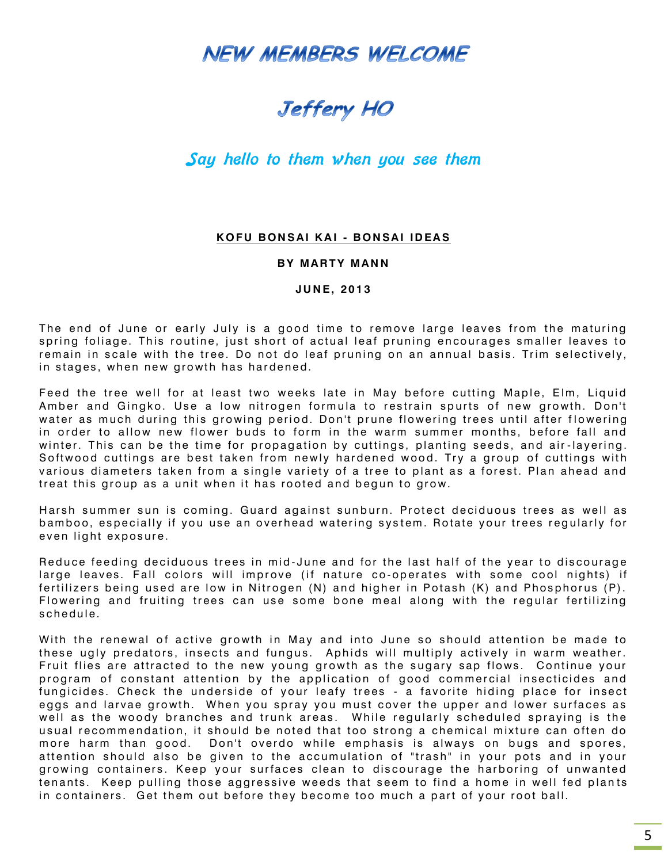**NEW MEMBERS WELCOME** 

## Jeffery HO

#### Say hello to them when you see them

#### **K O F U B ON S AI K A I - B ON SA I ID EA S**

#### **BY MARTY MANN**

#### **J U N E, 20 1 3**

The end of June or early July is a good time to remove large leaves from the maturing spring foliage. This routine, just short of actual leaf pruning encourages smaller leaves to remain in scale with the tree. Do not do leaf pruning on an annual basis. Trim selectively, in stages, when new growth has hardened.

Feed the tree well for at least two weeks late in May before cutting Maple, Elm, Liquid Amber and Gingko. Use a low nitrogen formula to restrain spurts of new growth. Don't water as much during this growing period. Don't prune flowering trees until after flowering in order to allow new flower buds to form in the warm summer months, before fall and winter. This can be the time for propagation by cuttings, planting seeds, and air-layering. Softwood cuttings are best taken from newly hardened wood. Try a group of cuttings with various diameters taken from a single variety of a tree to plant as a forest. Plan ahead and treat this group as a unit when it has rooted and begun to grow.

Harsh summer sun is coming. Guard against sunburn. Protect deciduous trees as well as bamboo, especially if you use an overhead watering system. Rotate your trees regularly for even light exposure.

Reduce feeding deciduous trees in mid-June and for the last half of the year to discourage large leaves. Fall colors will improve (if nature co-operates with some cool nights) if fertilizers being used are low in Nitrogen (N) and higher in Potash (K) and Phosphorus (P). Flowering and fruiting trees can use some bone meal along with the regular fertilizing schedule.

With the renewal of active growth in May and into June so should attention be made to these ugly predators, insects and fungus. Aphids will multiply actively in warm weather. Fruit flies are attracted to the new young growth as the sugary sap flows. Continue your program of constant attention by the application of good commercial insecticides and fungicides. Check the underside of your leafy trees - a favorite hiding place for insect eggs and larvae growth. When you spray you must cover the upper and lower surfaces as well as the woody branches and trunk areas. While regularly scheduled spraying is the usual recommendation, it should be noted that too strong a chemical mixture can often do more harm than good. Don't overdo while emphasis is always on bugs and spores, attention should also be given to the accumulation of "trash" in your pots and in your growing containers. Keep your surfaces clean to discourage the harboring of unwanted tenants. Keep pulling those aggressive weeds that seem to find a home in well fed plants in containers. Get them out before they become too much a part of your root ball.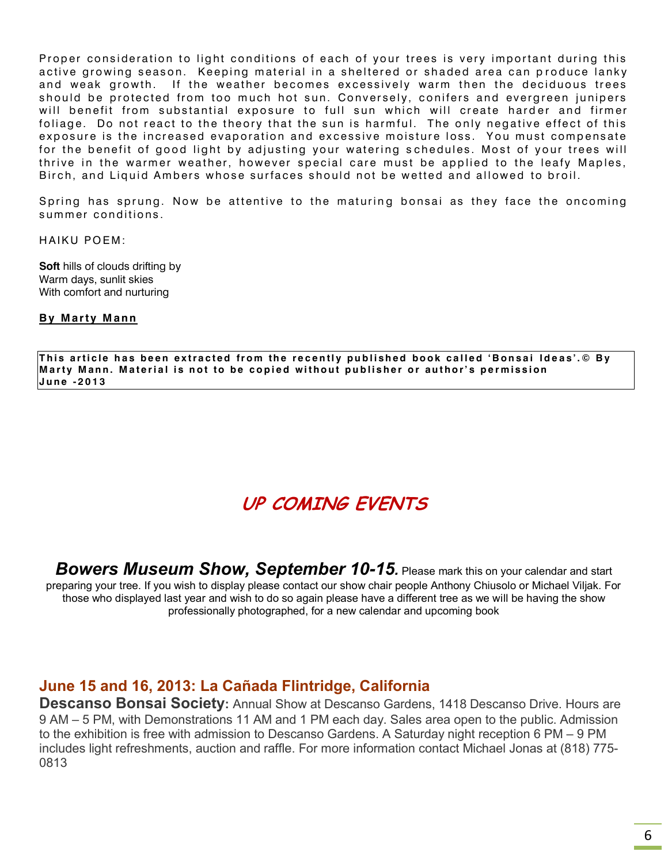Proper consideration to light conditions of each of your trees is very important during this active growing season. Keeping material in a sheltered or shaded area can produce lanky and weak growth. If the weather becomes excessively warm then the deciduous trees should be protected from too much hot sun. Conversely, conifers and evergreen junipers will benefit from substantial exposure to full sun which will create harder and firmer foliage. Do not react to the theory that the sun is harmful. The only negative effect of this exposure is the increased evaporation and excessive moisture loss. You must compensate for the benefit of good light by adjusting your watering schedules. Most of your trees will thrive in the warmer weather, however special care must be applied to the leafy Maples, Birch, and Liquid Ambers whose surfaces should not be wetted and allowed to broil.

Spring has sprung. Now be attentive to the maturing bonsai as they face the oncoming summer conditions.

HAIKU POEM:

**Soft** hills of clouds drifting by Warm days, sunlit skies With comfort and nurturing

#### **By Marty Mann**

This article has been extracted from the recently published book called 'Bonsai Ideas'.© By Marty Mann. Material is not to be copied without publisher or author's permission **J u n e - 201 3**

## **UP COMING EVENTS**

**Bowers Museum Show, September 10-15**. Please mark this on your calendar and start preparing your tree. If you wish to display please contact our show chair people Anthony Chiusolo or Michael Viljak. For those who displayed last year and wish to do so again please have a different tree as we will be having the show professionally photographed, for a new calendar and upcoming book

#### **June 15 and 16, 2013: La Cañada Flintridge, California**

**Descanso Bonsai Society:** Annual Show at Descanso Gardens, 1418 Descanso Drive. Hours are 9 AM – 5 PM, with Demonstrations 11 AM and 1 PM each day. Sales area open to the public. Admission to the exhibition is free with admission to Descanso Gardens. A Saturday night reception 6 PM – 9 PM includes light refreshments, auction and raffle. For more information contact Michael Jonas at (818) 775- 0813